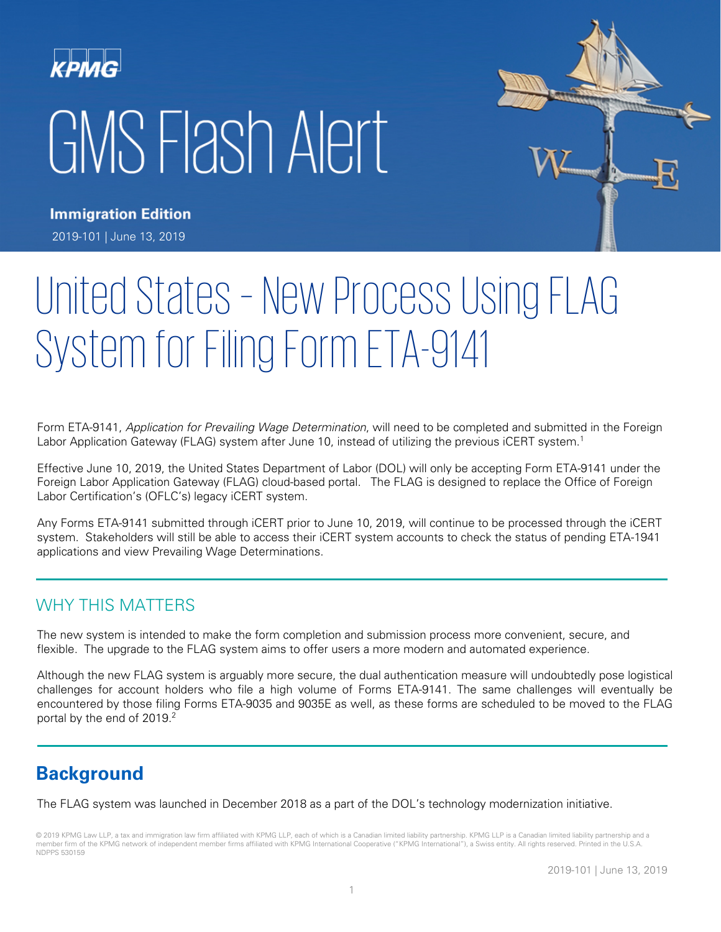# GMS Flash Alert



**Immigration Edition** 2019-101 | June 13, 2019

# United States – New Process Using FLAG System for Filing Form ETA-9141

Form ETA-9141, Application for Prevailing Wage Determination, will need to be completed and submitted in the Foreign Labor Application Gateway (FLAG) system after June 10, instead of utilizing the previous iCERT system.<sup>1</sup>

Effective June 10, 2019, the United States Department of Labor (DOL) will only be accepting Form ETA-9141 under the Foreign Labor Application Gateway (FLAG) cloud-based portal. The FLAG is designed to replace the Office of Foreign Labor Certification's (OFLC's) legacy iCERT system.

Any Forms ETA-9141 submitted through iCERT prior to June 10, 2019, will continue to be processed through the iCERT system. Stakeholders will still be able to access their iCERT system accounts to check the status of pending ETA-1941 applications and view Prevailing Wage Determinations.

#### WHY THIS MATTERS

The new system is intended to make the form completion and submission process more convenient, secure, and flexible. The upgrade to the FLAG system aims to offer users a more modern and automated experience.

Although the new FLAG system is arguably more secure, the dual authentication measure will undoubtedly pose logistical challenges for account holders who file a high volume of Forms ETA-9141. The same challenges will eventually be encountered by those filing Forms ETA-9035 and 9035E as well, as these forms are scheduled to be moved to the FLAG portal by the end of 2019.<sup>2</sup>

# **Background**

The FLAG system was launched in December 2018 as a part of the DOL's technology modernization initiative.

© 2019 KPMG Law LLP, a tax and immigration law firm affiliated with KPMG LLP, each of which is a Canadian limited liability partnership. KPMG LLP is a Canadian limited liability partnership and a member firm of the KPMG network of independent member firms affiliated with KPMG International Cooperative ("KPMG International"), a Swiss entity. All rights reserved. Printed in the U.S.A. NDPPS 530159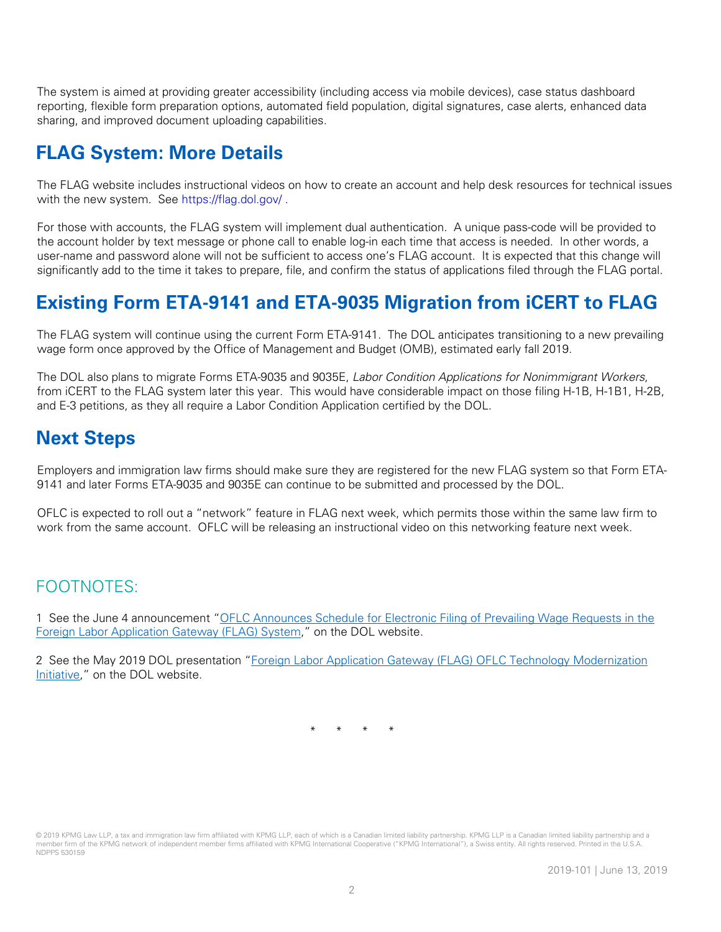The system is aimed at providing greater accessibility (including access via mobile devices), case status dashboard reporting, flexible form preparation options, automated field population, digital signatures, case alerts, enhanced data sharing, and improved document uploading capabilities.

# **FLAG System: More Details**

The FLAG website includes instructional videos on how to create an account and help desk resources for technical issues with the new system. See<https://flag.dol.gov/> .

For those with accounts, the FLAG system will implement dual authentication. A unique pass-code will be provided to the account holder by text message or phone call to enable log-in each time that access is needed. In other words, a user-name and password alone will not be sufficient to access one's FLAG account. It is expected that this change will significantly add to the time it takes to prepare, file, and confirm the status of applications filed through the FLAG portal.

# **Existing Form ETA-9141 and ETA-9035 Migration from iCERT to FLAG**

The FLAG system will continue using the current Form ETA-9141. The DOL anticipates transitioning to a new prevailing wage form once approved by the Office of Management and Budget (OMB), estimated early fall 2019.

The DOL also plans to migrate Forms ETA-9035 and 9035E, Labor Condition Applications for Nonimmigrant Workers, from iCERT to the FLAG system later this year. This would have considerable impact on those filing H-1B, H-1B1, H-2B, and E-3 petitions, as they all require a Labor Condition Application certified by the DOL.

### **Next Steps**

Employers and immigration law firms should make sure they are registered for the new FLAG system so that Form ETA-9141 and later Forms ETA-9035 and 9035E can continue to be submitted and processed by the DOL.

OFLC is expected to roll out a "network" feature in FLAG next week, which permits those within the same law firm to work from the same account. OFLC will be releasing an instructional video on this networking feature next week.

#### FOOTNOTES:

1 See the June 4 announcement ["OFLC Announces Schedule for Electronic Filing of Prevailing Wage Requests in the](https://flag.dol.gov/announcements)  [Foreign Labor Application Gateway \(FLAG\) System,](https://flag.dol.gov/announcements)" on the DOL website.

2 See the May 2019 DOL presentation "Foreign Labor Application Gateway (FLAG) OFLC Technology Modernization [Initiative,](https://www.foreignlaborcert.doleta.gov/pdf/foreign-labor-application-gateway.pdf)" on the DOL website.

\* \* \* \*

<sup>© 2019</sup> KPMG Law LLP, a tax and immigration law firm affiliated with KPMG LLP, each of which is a Canadian limited liability partnership. KPMG LLP is a Canadian limited liability partnership and a member firm of the KPMG network of independent member firms affiliated with KPMG International Cooperative ("KPMG International"), a Swiss entity. All rights reserved. Printed in the U.S.A. NDPPS 530159